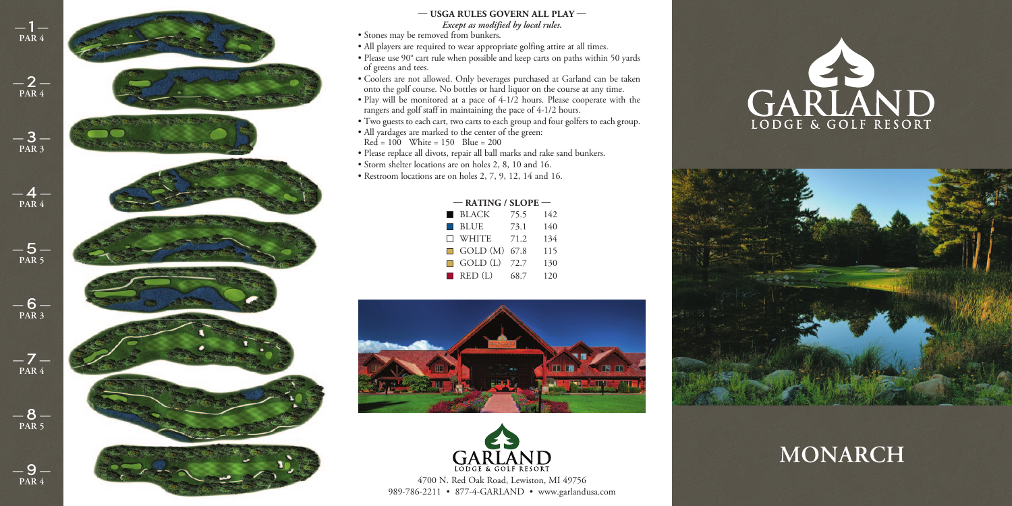

## *Except as modified by local rules.*  $-$  USGA RULES GOVERN ALL PLAY  $-$

• Stones may be removed from bunkers.

- All players are required to wear appropriate golfing attire at all times.
- Please use 90° cart rule when possible and keep carts on paths within 50 yards of greens and tees.
- Coolers are not allowed. Only beverages purchased at Garland can be taken onto the golf course. No bottles or hard liquor on the course at any time.
- Play will be monitored at a pace of 4-1/2 hours. Please cooperate with the rangers and golf staff in maintaining the pace of 4-1/2 hours.
- Two guests to each cart, two carts to each group and four golfers to each group.
- All yardages are marked to the center of the green:  $Red = 100$  White = 150 Blue = 200
- Please replace all divots, repair all ball marks and rake sand bunkers.
- Storm shelter locations are on holes 2, 8, 10 and 16.
- Restroom locations are on holes 2, 7, 9, 12, 14 and 16.

| $-$ RATING / SLOPE $-$ |                        |      |     |  |  |  |  |  |  |  |  |
|------------------------|------------------------|------|-----|--|--|--|--|--|--|--|--|
|                        | ■ BLACK                | 75.5 | 142 |  |  |  |  |  |  |  |  |
|                        | $\blacksquare$ BLUE    | 73.1 | 140 |  |  |  |  |  |  |  |  |
|                        | $\Box$ White           | 71.2 | 134 |  |  |  |  |  |  |  |  |
|                        | $\Box$ GOLD $(M)$      | 67.8 | 115 |  |  |  |  |  |  |  |  |
|                        | $\Box$ GOLD (L)        | 72.7 | 130 |  |  |  |  |  |  |  |  |
|                        | $\blacksquare$ RED (L) | 68.7 | 120 |  |  |  |  |  |  |  |  |





4700 N. Red Oak Road, Lewiston, MI 49756 989-786-2211 • 877-4-GARLAND • www.garlandusa.com





## **MONARCH**